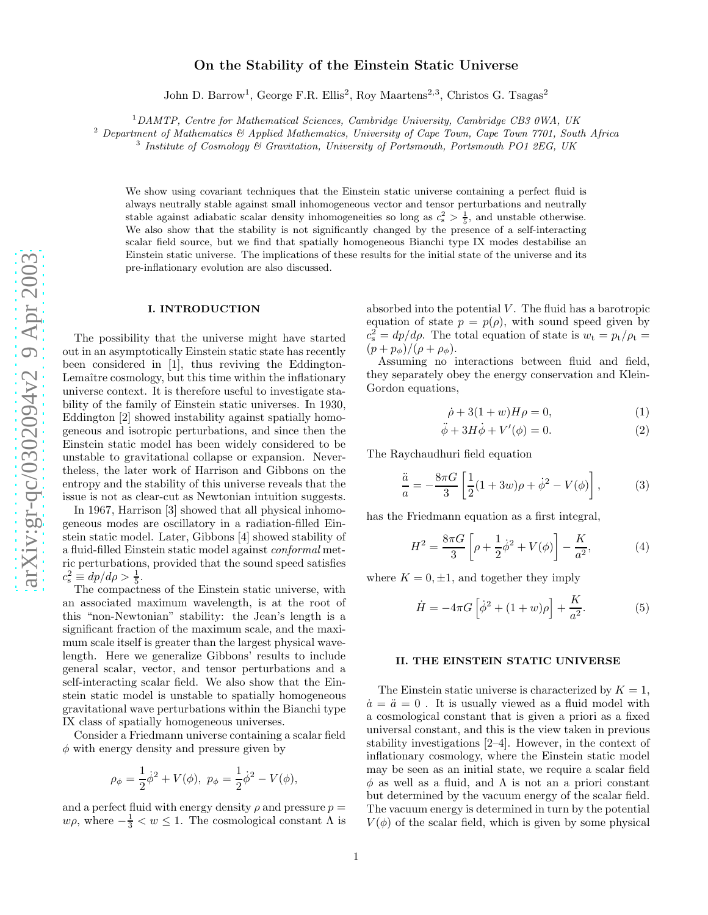# On the Stability of the Einstein Static Universe

John D. Barrow<sup>1</sup>, George F.R. Ellis<sup>2</sup>, Roy Maartens<sup>2,3</sup>, Christos G. Tsagas<sup>2</sup>

<sup>1</sup>DAMTP, Centre for Mathematical Sciences, Cambridge University, Cambridge CB3 0WA, UK

<sup>2</sup> Department of Mathematics & Applied Mathematics, University of Cape Town, Cape Town 7701, South Africa

 $3$  Institute of Cosmology  $6$  Gravitation, University of Portsmouth, Portsmouth PO1 2EG, UK

We show using covariant techniques that the Einstein static universe containing a perfect fluid is always neutrally stable against small inhomogeneous vector and tensor perturbations and neutrally stable against adiabatic scalar density inhomogeneities so long as  $c_s^2 > \frac{1}{5}$ , and unstable otherwise. We also show that the stability is not significantly changed by the presence of a self-interacting scalar field source, but we find that spatially homogeneous Bianchi type IX modes destabilise an Einstein static universe. The implications of these results for the initial state of the universe and its pre-inflationary evolution are also discussed.

#### I. INTRODUCTION

The possibility that the universe might have started out in an asymptotically Einstein static state has recently been considered in [1], thus reviving the Eddington-Lemaître cosmology, but this time within the inflationary universe context. It is therefore useful to investigate sta bility of the family of Einstein static universes. In 1930, Eddington [2] showed instability against spatially homogeneous and isotropic perturbations, and since then the Einstein static model has been widely considered to be unstable to gravitational collapse or expansion. Nevertheless, the later work of Harrison and Gibbons on the entropy and the stability of this universe reveals that the issue is not as clear-cut as Newtonian intuition suggests.

In 1967, Harrison [3] showed that all physical inhomogeneous modes are oscillatory in a radiation-filled Einstein static model. Later, Gibbons [4] showed stability of a fluid-filled Einstein static model against conformal metric perturbations, provided that the sound speed satisfies  $c_s^2 \equiv dp/d\rho > \frac{1}{5}$ .

The compactness of the Einstein static universe, with an associated maximum wavelength, is at the root of this "non-Newtonian" stability: the Jean's length is a significant fraction of the maximum scale, and the maximum scale itself is greater than the largest physical wavelength. Here we generalize Gibbons' results to include general scalar, vector, and tensor perturbations and a self-interacting scalar field. We also show that the Einstein static model is unstable to spatially homogeneous gravitational wave perturbations within the Bianchi type IX class of spatially homogeneous universes.

Consider a Friedmann universe containing a scalar field  $\phi$  with energy density and pressure given by

$$
\rho_{\phi} = \frac{1}{2}\dot{\phi}^{2} + V(\phi), \ p_{\phi} = \frac{1}{2}\dot{\phi}^{2} - V(\phi),
$$

and a perfect fluid with energy density  $\rho$  and pressure  $p =$  $w\rho$ , where  $-\frac{1}{3} < w \leq 1$ . The cosmological constant  $\Lambda$  is absorbed into the potential  $V$ . The fluid has a barotropic equation of state  $p = p(\rho)$ , with sound speed given by  $c_s^2 = dp/d\rho$ . The total equation of state is  $w_t = p_t/\rho_t =$  $(p+p_{\phi})/(\rho+\rho_{\phi}).$ 

Assuming no interactions between fluid and field, they separately obey the energy conservation and Klein-Gordon equations,

$$
\dot{\rho} + 3(1+w)H\rho = 0,\tag{1}
$$

$$
\ddot{\phi} + 3H\dot{\phi} + V'(\phi) = 0.
$$
 (2)

The Raychaudhuri field equation

$$
\frac{\ddot{a}}{a} = -\frac{8\pi G}{3} \left[ \frac{1}{2} (1 + 3w)\rho + \dot{\phi}^2 - V(\phi) \right],
$$
 (3)

has the Friedmann equation as a first integral,

$$
H^{2} = \frac{8\pi G}{3} \left[ \rho + \frac{1}{2} \dot{\phi}^{2} + V(\phi) \right] - \frac{K}{a^{2}},
$$
 (4)

where  $K = 0, \pm 1$ , and together they imply

$$
\dot{H} = -4\pi G \left[ \dot{\phi}^2 + (1+w)\rho \right] + \frac{K}{a^2}.
$$
 (5)

#### II. THE EINSTEIN STATIC UNIVERSE

The Einstein static universe is characterized by  $K = 1$ ,  $\dot{a} = \ddot{a} = 0$ . It is usually viewed as a fluid model with a cosmological constant that is given a priori as a fixed universal constant, and this is the view taken in previous stability investigations [2–4]. However, in the context of inflationary cosmology, where the Einstein static model may be seen as an initial state, we require a scalar field  $\phi$  as well as a fluid, and  $\Lambda$  is not an a priori constant but determined by the vacuum energy of the scalar field. The vacuum energy is determined in turn by the potential  $V(\phi)$  of the scalar field, which is given by some physical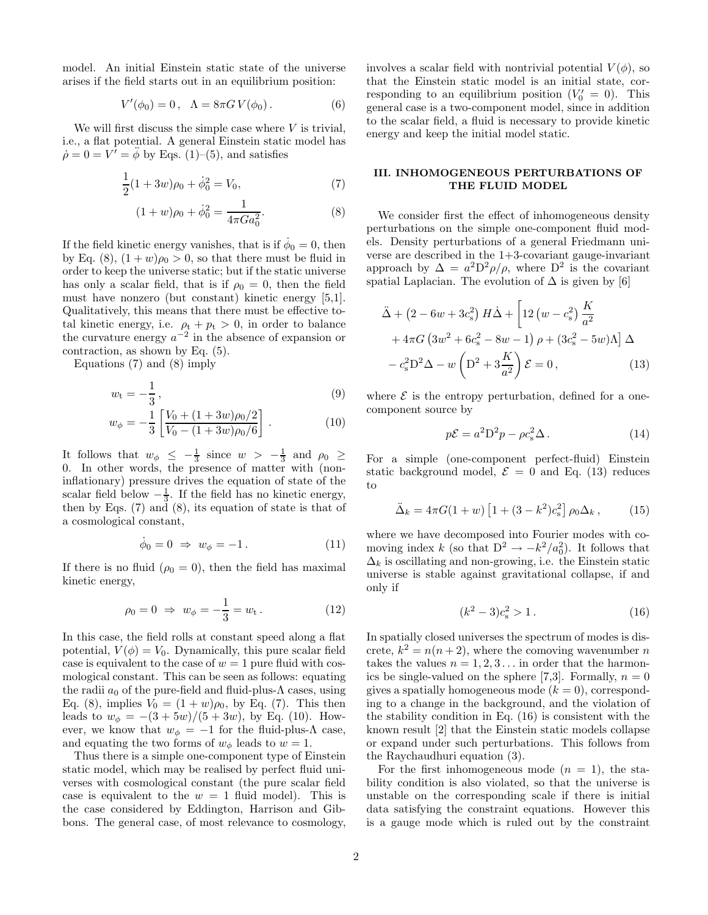model. An initial Einstein static state of the universe arises if the field starts out in an equilibrium position:

$$
V'(\phi_0) = 0, \ \ \Lambda = 8\pi G \, V(\phi_0). \tag{6}
$$

We will first discuss the simple case where  $V$  is trivial, i.e., a flat potential. A general Einstein static model has  $\dot{\rho} = 0 = V' = \ddot{\phi}$  by Eqs. (1)–(5), and satisfies

$$
\frac{1}{2}(1+3w)\rho_0 + \dot{\phi}_0^2 = V_0,
$$
\n(7)

$$
(1+w)\rho_0 + \dot{\phi}_0^2 = \frac{1}{4\pi G a_0^2}.
$$
 (8)

If the field kinetic energy vanishes, that is if  $\dot{\phi}_0 = 0$ , then by Eq. (8),  $(1+w)\rho_0 > 0$ , so that there must be fluid in order to keep the universe static; but if the static universe has only a scalar field, that is if  $\rho_0 = 0$ , then the field must have nonzero (but constant) kinetic energy [5,1]. Qualitatively, this means that there must be effective total kinetic energy, i.e.  $\rho_t + p_t > 0$ , in order to balance the curvature energy  $a^{-2}$  in the absence of expansion or contraction, as shown by Eq. (5).

Equations (7) and (8) imply

$$
w_{t} = -\frac{1}{3},\tag{9}
$$

$$
w_{\phi} = -\frac{1}{3} \left[ \frac{V_0 + (1 + 3w)\rho_0/2}{V_0 - (1 + 3w)\rho_0/6} \right].
$$
 (10)

It follows that  $w_{\phi} \leq -\frac{1}{3}$  since  $w > -\frac{1}{3}$  and  $\rho_0 \geq$ 0. In other words, the presence of matter with (noninflationary) pressure drives the equation of state of the scalar field below  $-\frac{1}{3}$ . If the field has no kinetic energy, then by Eqs.  $(7)$  and  $(8)$ , its equation of state is that of a cosmological constant,

$$
\dot{\phi}_0 = 0 \Rightarrow w_{\phi} = -1. \tag{11}
$$

If there is no fluid  $(\rho_0 = 0)$ , then the field has maximal kinetic energy,

$$
\rho_0 = 0 \Rightarrow w_{\phi} = -\frac{1}{3} = w_{t}.
$$
\n(12)

In this case, the field rolls at constant speed along a flat potential,  $V(\phi) = V_0$ . Dynamically, this pure scalar field case is equivalent to the case of  $w = 1$  pure fluid with cosmological constant. This can be seen as follows: equating the radii  $a_0$  of the pure-field and fluid-plus- $\Lambda$  cases, using Eq. (8), implies  $V_0 = (1 + w)\rho_0$ , by Eq. (7). This then leads to  $w_{\phi} = -(3 + 5w)/(5 + 3w)$ , by Eq. (10). However, we know that  $w_{\phi} = -1$  for the fluid-plus- $\Lambda$  case, and equating the two forms of  $w_{\phi}$  leads to  $w = 1$ .

Thus there is a simple one-component type of Einstein static model, which may be realised by perfect fluid universes with cosmological constant (the pure scalar field case is equivalent to the  $w = 1$  fluid model). This is the case considered by Eddington, Harrison and Gibbons. The general case, of most relevance to cosmology, involves a scalar field with nontrivial potential  $V(\phi)$ , so that the Einstein static model is an initial state, corresponding to an equilibrium position  $(V_0' = 0)$ . This general case is a two-component model, since in addition to the scalar field, a fluid is necessary to provide kinetic energy and keep the initial model static.

## III. INHOMOGENEOUS PERTURBATIONS OF THE FLUID MODEL

We consider first the effect of inhomogeneous density perturbations on the simple one-component fluid models. Density perturbations of a general Friedmann universe are described in the 1+3-covariant gauge-invariant approach by  $\Delta = a^2 D^2 \rho / \rho$ , where  $D^2$  is the covariant spatial Laplacian. The evolution of  $\Delta$  is given by [6]

$$
\ddot{\Delta} + (2 - 6w + 3c_s^2) H \dot{\Delta} + \left[ 12 (w - c_s^2) \frac{K}{a^2} + 4\pi G (3w^2 + 6c_s^2 - 8w - 1) \rho + (3c_s^2 - 5w) \Lambda \right] \Delta - c_s^2 D^2 \Delta - w \left( D^2 + 3\frac{K}{a^2} \right) \mathcal{E} = 0,
$$
\n(13)

where  $\mathcal E$  is the entropy perturbation, defined for a onecomponent source by

$$
p\mathcal{E} = a^2 D^2 p - \rho c_s^2 \Delta. \qquad (14)
$$

For a simple (one-component perfect-fluid) Einstein static background model,  $\mathcal{E} = 0$  and Eq. (13) reduces to

$$
\ddot{\Delta}_k = 4\pi G (1+w) \left[ 1 + (3 - k^2) c_s^2 \right] \rho_0 \Delta_k, \qquad (15)
$$

where we have decomposed into Fourier modes with comoving index k (so that  $D^2 \to -k^2/a_0^2$ ). It follows that  $\Delta_k$  is oscillating and non-growing, i.e. the Einstein static universe is stable against gravitational collapse, if and only if

$$
(k^2 - 3)c_s^2 > 1.
$$
 (16)

In spatially closed universes the spectrum of modes is discrete,  $k^2 = n(n+2)$ , where the comoving wavenumber n takes the values  $n = 1, 2, 3...$  in order that the harmonics be single-valued on the sphere [7,3]. Formally,  $n = 0$ gives a spatially homogeneous mode  $(k = 0)$ , corresponding to a change in the background, and the violation of the stability condition in Eq. (16) is consistent with the known result [2] that the Einstein static models collapse or expand under such perturbations. This follows from the Raychaudhuri equation (3).

For the first inhomogeneous mode  $(n = 1)$ , the stability condition is also violated, so that the universe is unstable on the corresponding scale if there is initial data satisfying the constraint equations. However this is a gauge mode which is ruled out by the constraint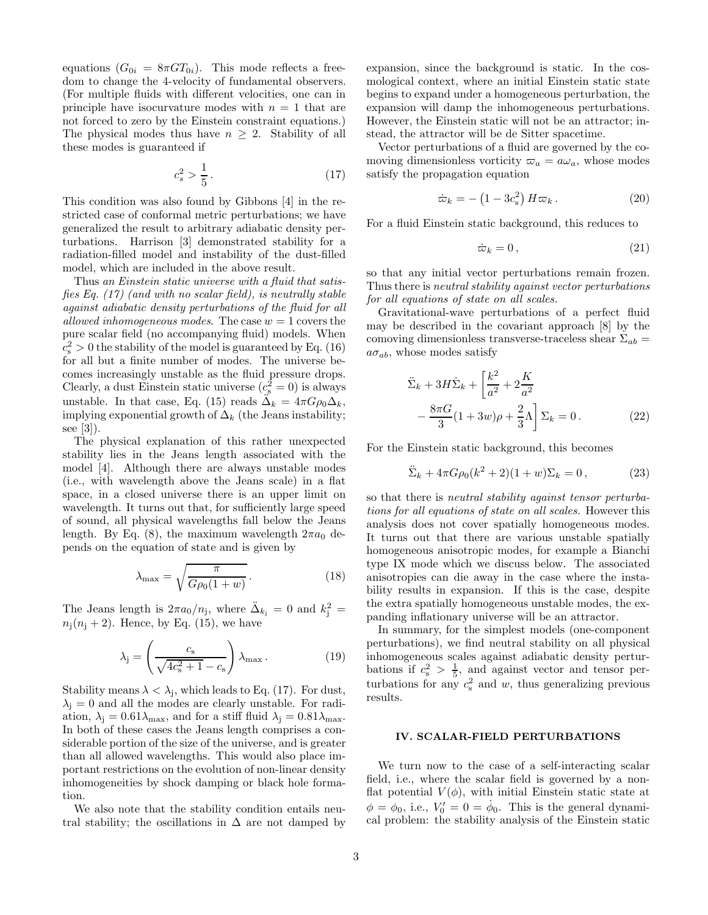equations  $(G_{0i} = 8\pi GT_{0i})$ . This mode reflects a freedom to change the 4-velocity of fundamental observers. (For multiple fluids with different velocities, one can in principle have isocurvature modes with  $n = 1$  that are not forced to zero by the Einstein constraint equations.) The physical modes thus have  $n \geq 2$ . Stability of all these modes is guaranteed if

$$
c_s^2 > \frac{1}{5} \,. \tag{17}
$$

This condition was also found by Gibbons [4] in the restricted case of conformal metric perturbations; we have generalized the result to arbitrary adiabatic density perturbations. Harrison [3] demonstrated stability for a radiation-filled model and instability of the dust-filled model, which are included in the above result.

Thus an Einstein static universe with a fluid that satisfies Eq. (17) (and with no scalar field), is neutrally stable against adiabatic density perturbations of the fluid for all allowed inhomogeneous modes. The case  $w = 1$  covers the pure scalar field (no accompanying fluid) models. When  $c_s^2 > 0$  the stability of the model is guaranteed by Eq. (16) for all but a finite number of modes. The universe becomes increasingly unstable as the fluid pressure drops. Clearly, a dust Einstein static universe  $(c_s^2 = 0)$  is always unstable. In that case, Eq. (15) reads  $\ddot{\Delta}_k = 4\pi G \rho_0 \Delta_k$ , implying exponential growth of  $\Delta_k$  (the Jeans instability; see [3]).

The physical explanation of this rather unexpected stability lies in the Jeans length associated with the model [4]. Although there are always unstable modes (i.e., with wavelength above the Jeans scale) in a flat space, in a closed universe there is an upper limit on wavelength. It turns out that, for sufficiently large speed of sound, all physical wavelengths fall below the Jeans length. By Eq. (8), the maximum wavelength  $2\pi a_0$  depends on the equation of state and is given by

$$
\lambda_{\text{max}} = \sqrt{\frac{\pi}{G\rho_0(1+w)}}.
$$
\n(18)

The Jeans length is  $2\pi a_0/n_j$ , where  $\ddot{\Delta}_{k_j} = 0$  and  $k_j^2 =$  $n_i(n_i + 2)$ . Hence, by Eq. (15), we have

$$
\lambda_{\mathbf{j}} = \left(\frac{c_{\mathbf{s}}}{\sqrt{4c_{\mathbf{s}}^2 + 1 - c_{\mathbf{s}}}}\right) \lambda_{\max}.
$$
 (19)

Stability means  $\lambda < \lambda_j$ , which leads to Eq. (17). For dust,  $\lambda_i = 0$  and all the modes are clearly unstable. For radiation,  $\lambda_j = 0.61 \lambda_{\text{max}}$ , and for a stiff fluid  $\lambda_j = 0.81 \lambda_{\text{max}}$ . In both of these cases the Jeans length comprises a considerable portion of the size of the universe, and is greater than all allowed wavelengths. This would also place important restrictions on the evolution of non-linear density inhomogeneities by shock damping or black hole formation.

We also note that the stability condition entails neutral stability; the oscillations in  $\Delta$  are not damped by expansion, since the background is static. In the cosmological context, where an initial Einstein static state begins to expand under a homogeneous perturbation, the expansion will damp the inhomogeneous perturbations. However, the Einstein static will not be an attractor; instead, the attractor will be de Sitter spacetime.

Vector perturbations of a fluid are governed by the comoving dimensionless vorticity  $\varpi_a = a\omega_a$ , whose modes satisfy the propagation equation

$$
\dot{\varpi}_k = -\left(1 - 3c_s^2\right)H\varpi_k\,. \tag{20}
$$

For a fluid Einstein static background, this reduces to

$$
\dot{\varpi}_k = 0 \,, \tag{21}
$$

so that any initial vector perturbations remain frozen. Thus there is neutral stability against vector perturbations for all equations of state on all scales.

Gravitational-wave perturbations of a perfect fluid may be described in the covariant approach [8] by the comoving dimensionless transverse-traceless shear  $\Sigma_{ab}$  =  $a\sigma_{ab}$ , whose modes satisfy

$$
\ddot{\Sigma}_k + 3H\dot{\Sigma}_k + \left[\frac{k^2}{a^2} + 2\frac{K}{a^2}\right] \n-\frac{8\pi G}{3}(1+3w)\rho + \frac{2}{3}\Lambda \left[\Sigma_k = 0\right].
$$
\n(22)

For the Einstein static background, this becomes

$$
\ddot{\Sigma}_k + 4\pi G \rho_0 (k^2 + 2)(1 + w) \Sigma_k = 0, \qquad (23)
$$

so that there is neutral stability against tensor perturbations for all equations of state on all scales. However this analysis does not cover spatially homogeneous modes. It turns out that there are various unstable spatially homogeneous anisotropic modes, for example a Bianchi type IX mode which we discuss below. The associated anisotropies can die away in the case where the instability results in expansion. If this is the case, despite the extra spatially homogeneous unstable modes, the expanding inflationary universe will be an attractor.

In summary, for the simplest models (one-component perturbations), we find neutral stability on all physical inhomogeneous scales against adiabatic density perturbations if  $c_s^2 > \frac{1}{5}$ , and against vector and tensor perturbations for any  $c_s^2$  and w, thus generalizing previous results.

#### IV. SCALAR-FIELD PERTURBATIONS

We turn now to the case of a self-interacting scalar field, i.e., where the scalar field is governed by a nonflat potential  $V(\phi)$ , with initial Einstein static state at  $\phi = \phi_0$ , i.e.,  $V'_0 = 0 = \dot{\phi}_0$ . This is the general dynamical problem: the stability analysis of the Einstein static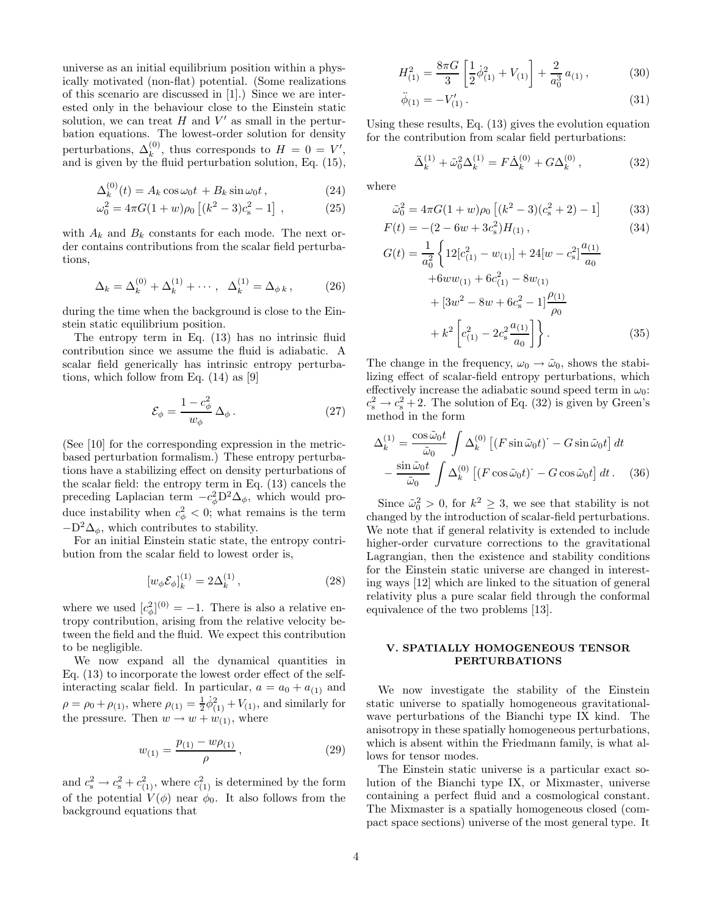universe as an initial equilibrium position within a physically motivated (non-flat) potential. (Some realizations of this scenario are discussed in [1].) Since we are interested only in the behaviour close to the Einstein static solution, we can treat  $H$  and  $V'$  as small in the perturbation equations. The lowest-order solution for density perturbations,  $\Delta_k^{(0)}$ , thus corresponds to  $H = 0 = V'$ , and is given by the fluid perturbation solution, Eq. (15),

$$
\Delta_k^{(0)}(t) = A_k \cos \omega_0 t + B_k \sin \omega_0 t, \qquad (24)
$$

$$
\omega_0^2 = 4\pi G (1+w)\rho_0 \left[ (k^2 - 3)c_s^2 - 1 \right] , \qquad (25)
$$

with  $A_k$  and  $B_k$  constants for each mode. The next order contains contributions from the scalar field perturbations,

$$
\Delta_k = \Delta_k^{(0)} + \Delta_k^{(1)} + \cdots, \quad \Delta_k^{(1)} = \Delta_{\phi k}, \tag{26}
$$

during the time when the background is close to the Einstein static equilibrium position.

The entropy term in Eq. (13) has no intrinsic fluid contribution since we assume the fluid is adiabatic. A scalar field generically has intrinsic entropy perturbations, which follow from Eq. (14) as [9]

$$
\mathcal{E}_{\phi} = \frac{1 - c_{\phi}^2}{w_{\phi}} \,\Delta_{\phi} \,. \tag{27}
$$

(See [10] for the corresponding expression in the metricbased perturbation formalism.) These entropy perturbations have a stabilizing effect on density perturbations of the scalar field: the entropy term in Eq. (13) cancels the preceding Laplacian term  $-c_{\phi}^{2}D^{2}\Delta_{\phi}$ , which would produce instability when  $c^2_{\phi} < 0$ ; what remains is the term  $-D^2\Delta_{\phi}$ , which contributes to stability.

For an initial Einstein static state, the entropy contribution from the scalar field to lowest order is,

$$
[w_{\phi} \mathcal{E}_{\phi}]_{k}^{(1)} = 2\Delta_{k}^{(1)}, \tag{28}
$$

where we used  $[c_{\phi}^2]^{(0)} = -1$ . There is also a relative entropy contribution, arising from the relative velocity between the field and the fluid. We expect this contribution to be negligible.

We now expand all the dynamical quantities in Eq. (13) to incorporate the lowest order effect of the selfinteracting scalar field. In particular,  $a = a_0 + a_{(1)}$  and  $\rho = \rho_0 + \rho_{(1)}$ , where  $\rho_{(1)} = \frac{1}{2} \dot{\phi}_{(1)}^2 + V_{(1)}$ , and similarly for the pressure. Then  $w \rightarrow w + w_{(1)}$ , where

$$
w_{(1)} = \frac{p_{(1)} - w \rho_{(1)}}{\rho}, \qquad (29)
$$

and  $c_s^2 \rightarrow c_s^2 + c_{(1)}^2$ , where  $c_{(1)}^2$  is determined by the form of the potential  $V(\phi)$  near  $\phi_0$ . It also follows from the background equations that

$$
H_{(1)}^2 = \frac{8\pi G}{3} \left[ \frac{1}{2} \dot{\phi}_{(1)}^2 + V_{(1)} \right] + \frac{2}{a_0^3} a_{(1)} ,\qquad (30)
$$

$$
\ddot{\phi}_{(1)} = -V'_{(1)}.
$$
\n(31)

Using these results, Eq. (13) gives the evolution equation for the contribution from scalar field perturbations:

$$
\ddot{\Delta}_k^{(1)} + \tilde{\omega}_0^2 \Delta_k^{(1)} = F \dot{\Delta}_k^{(0)} + G \Delta_k^{(0)}, \qquad (32)
$$

where

$$
\tilde{\omega}_0^2 = 4\pi G (1+w)\rho_0 \left[ (k^2 - 3)(c_s^2 + 2) - 1 \right] \tag{33}
$$
  

$$
F(t) = -(2 - 6w + 3c_s^2)H_{(1)}, \tag{34}
$$

$$
G(t) = \frac{1}{a_0^2} \left\{ 12[c_{(1)}^2 - w_{(1)}] + 24[w - c_s^2] \frac{a_{(1)}}{a_0} + 6ww_{(1)} + 6c_{(1)}^2 - 8w_{(1)} + [3w^2 - 8w + 6c_s^2 - 1] \frac{\rho_{(1)}}{\rho_0} + k^2 \left[ c_{(1)}^2 - 2c_s^2 \frac{a_{(1)}}{a_0} \right] \right\}.
$$
 (35)

The change in the frequency,  $\omega_0 \rightarrow \tilde{\omega}_0$ , shows the stabilizing effect of scalar-field entropy perturbations, which effectively increase the adiabatic sound speed term in  $\omega_0$ :  $c_s^2 \rightarrow c_s^2 + 2$ . The solution of Eq. (32) is given by Green's method in the form

$$
\Delta_k^{(1)} = \frac{\cos \tilde{\omega}_0 t}{\tilde{\omega}_0} \int \Delta_k^{(0)} \left[ (F \sin \tilde{\omega}_0 t) - G \sin \tilde{\omega}_0 t \right] dt \n- \frac{\sin \tilde{\omega}_0 t}{\tilde{\omega}_0} \int \Delta_k^{(0)} \left[ (F \cos \tilde{\omega}_0 t) - G \cos \tilde{\omega}_0 t \right] dt. \quad (36)
$$

Since  $\tilde{\omega}_0^2 > 0$ , for  $k^2 \geq 3$ , we see that stability is not changed by the introduction of scalar-field perturbations. We note that if general relativity is extended to include higher-order curvature corrections to the gravitational Lagrangian, then the existence and stability conditions for the Einstein static universe are changed in interesting ways [12] which are linked to the situation of general relativity plus a pure scalar field through the conformal equivalence of the two problems [13].

## V. SPATIALLY HOMOGENEOUS TENSOR PERTURBATIONS

We now investigate the stability of the Einstein static universe to spatially homogeneous gravitationalwave perturbations of the Bianchi type IX kind. The anisotropy in these spatially homogeneous perturbations, which is absent within the Friedmann family, is what allows for tensor modes.

The Einstein static universe is a particular exact solution of the Bianchi type IX, or Mixmaster, universe containing a perfect fluid and a cosmological constant. The Mixmaster is a spatially homogeneous closed (compact space sections) universe of the most general type. It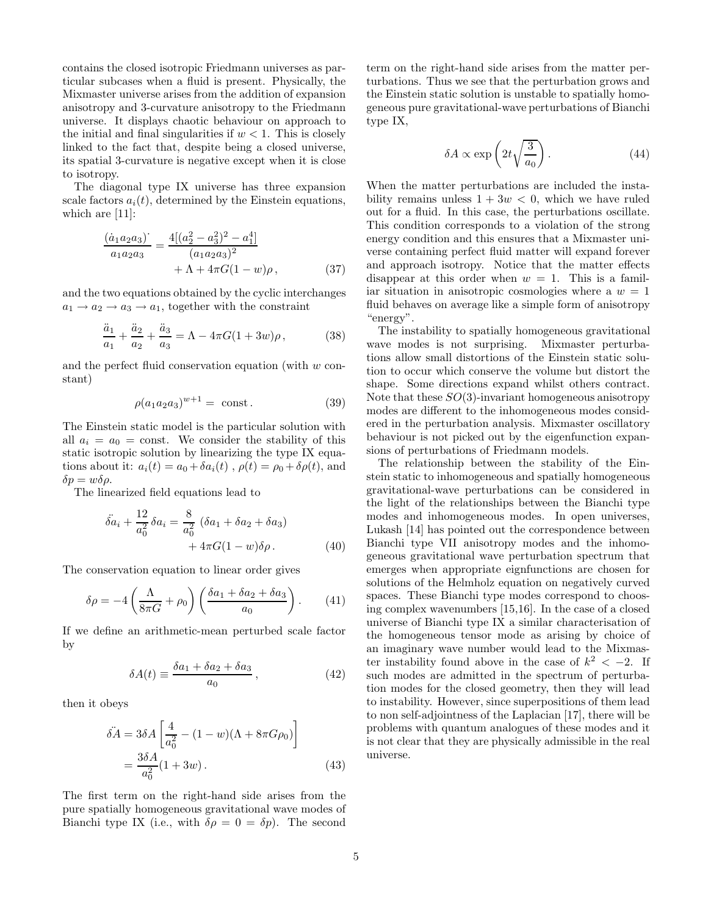contains the closed isotropic Friedmann universes as particular subcases when a fluid is present. Physically, the Mixmaster universe arises from the addition of expansion anisotropy and 3-curvature anisotropy to the Friedmann universe. It displays chaotic behaviour on approach to the initial and final singularities if  $w < 1$ . This is closely linked to the fact that, despite being a closed universe, its spatial 3-curvature is negative except when it is close to isotropy.

The diagonal type IX universe has three expansion scale factors  $a_i(t)$ , determined by the Einstein equations, which are [11]:

$$
\frac{(\dot{a}_1 a_2 a_3)}{a_1 a_2 a_3} = \frac{4[(a_2^2 - a_3^2)^2 - a_1^4]}{(a_1 a_2 a_3)^2} + \Lambda + 4\pi G(1 - w)\rho, \qquad (37)
$$

and the two equations obtained by the cyclic interchanges  $a_1 \rightarrow a_2 \rightarrow a_3 \rightarrow a_1$ , together with the constraint

$$
\frac{\ddot{a}_1}{a_1} + \frac{\ddot{a}_2}{a_2} + \frac{\ddot{a}_3}{a_3} = \Lambda - 4\pi G(1 + 3w)\rho, \tag{38}
$$

and the perfect fluid conservation equation (with w constant)

$$
\rho(a_1 a_2 a_3)^{w+1} = \text{ const.} \tag{39}
$$

The Einstein static model is the particular solution with all  $a_i = a_0$  = const. We consider the stability of this static isotropic solution by linearizing the type IX equations about it:  $a_i(t) = a_0 + \delta a_i(t)$ ,  $\rho(t) = \rho_0 + \delta \rho(t)$ , and  $\delta p = w \delta \rho$ .

The linearized field equations lead to

$$
\ddot{\delta a}_i + \frac{12}{a_0^2} \delta a_i = \frac{8}{a_0^2} (\delta a_1 + \delta a_2 + \delta a_3) + 4\pi G (1 - w) \delta \rho.
$$
 (40)

The conservation equation to linear order gives

$$
\delta \rho = -4 \left( \frac{\Lambda}{8\pi G} + \rho_0 \right) \left( \frac{\delta a_1 + \delta a_2 + \delta a_3}{a_0} \right). \tag{41}
$$

If we define an arithmetic-mean perturbed scale factor by

$$
\delta A(t) \equiv \frac{\delta a_1 + \delta a_2 + \delta a_3}{a_0} \,,\tag{42}
$$

then it obeys

$$
\ddot{\delta A} = 3\delta A \left[ \frac{4}{a_0^2} - (1 - w)(\Lambda + 8\pi G \rho_0) \right]
$$
  
= 
$$
\frac{3\delta A}{a_0^2} (1 + 3w).
$$
 (43)

The first term on the right-hand side arises from the pure spatially homogeneous gravitational wave modes of Bianchi type IX (i.e., with  $\delta \rho = 0 = \delta p$ ). The second

term on the right-hand side arises from the matter perturbations. Thus we see that the perturbation grows and the Einstein static solution is unstable to spatially homogeneous pure gravitational-wave perturbations of Bianchi type IX,

$$
\delta A \propto \exp\left(2t\sqrt{\frac{3}{a_0}}\right). \tag{44}
$$

When the matter perturbations are included the instability remains unless  $1 + 3w < 0$ , which we have ruled out for a fluid. In this case, the perturbations oscillate. This condition corresponds to a violation of the strong energy condition and this ensures that a Mixmaster universe containing perfect fluid matter will expand forever and approach isotropy. Notice that the matter effects disappear at this order when  $w = 1$ . This is a familiar situation in anisotropic cosmologies where a  $w = 1$ fluid behaves on average like a simple form of anisotropy "energy".

The instability to spatially homogeneous gravitational wave modes is not surprising. Mixmaster perturbations allow small distortions of the Einstein static solution to occur which conserve the volume but distort the shape. Some directions expand whilst others contract. Note that these  $SO(3)$ -invariant homogeneous anisotropy modes are different to the inhomogeneous modes considered in the perturbation analysis. Mixmaster oscillatory behaviour is not picked out by the eigenfunction expansions of perturbations of Friedmann models.

The relationship between the stability of the Einstein static to inhomogeneous and spatially homogeneous gravitational-wave perturbations can be considered in the light of the relationships between the Bianchi type modes and inhomogeneous modes. In open universes, Lukash [14] has pointed out the correspondence between Bianchi type VII anisotropy modes and the inhomogeneous gravitational wave perturbation spectrum that emerges when appropriate eignfunctions are chosen for solutions of the Helmholz equation on negatively curved spaces. These Bianchi type modes correspond to choosing complex wavenumbers [15,16]. In the case of a closed universe of Bianchi type IX a similar characterisation of the homogeneous tensor mode as arising by choice of an imaginary wave number would lead to the Mixmaster instability found above in the case of  $k^2 < -2$ . If such modes are admitted in the spectrum of perturbation modes for the closed geometry, then they will lead to instability. However, since superpositions of them lead to non self-adjointness of the Laplacian [17], there will be problems with quantum analogues of these modes and it is not clear that they are physically admissible in the real universe.